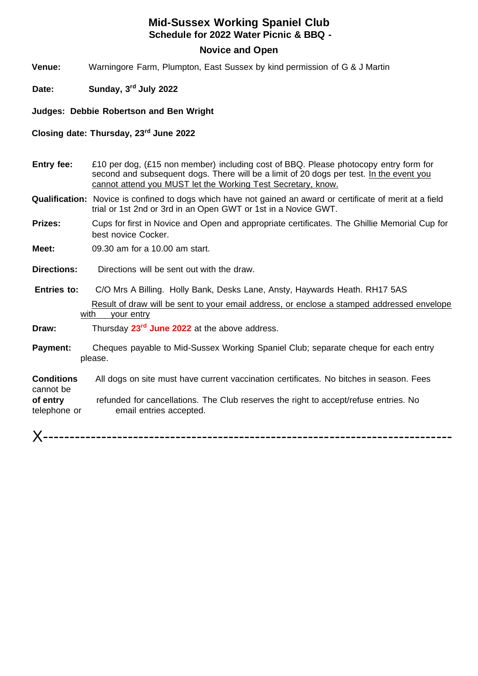## **Mid-Sussex Working Spaniel Club Schedule for 2022 Water Picnic & BBQ -**

## **Novice and Open**

**Venue:** Warningore Farm, Plumpton, East Sussex by kind permission of G & J Martin

**Date: Sunday, 3rd July 2022**

**Judges: Debbie Robertson and Ben Wright**

**Closing date: Thursday, 23rd June 2022**

- **Entry fee:** £10 per dog, (£15 non member) including cost of BBQ. Please photocopy entry form for second and subsequent dogs. There will be a limit of 20 dogs per test. In the event you cannot attend you MUST let the Working Test Secretary, know.
- **Qualification:** Novice is confined to dogs which have not gained an award or certificate of merit at a field trial or 1st 2nd or 3rd in an Open GWT or 1st in a Novice GWT.
- **Prizes:** Cups for first in Novice and Open and appropriate certificates. The Ghillie Memorial Cup for best novice Cocker.

**Meet:** 09.30 am for a 10.00 am start.

**Directions:** Directions will be sent out with the draw.

 **Entries to:** C/O Mrs A Billing. Holly Bank, Desks Lane, Ansty, Haywards Heath. RH17 5AS Result of draw will be sent to your email address, or enclose a stamped addressed envelope with your entry

**Draw:** Thursday **23rd June 2022** at the above address.

**Payment:** Cheques payable to Mid-Sussex Working Spaniel Club; separate cheque for each entry please.

**Conditions** All dogs on site must have current vaccination certificates. No bitches in season. Fees cannot be **of entry** refunded for cancellations. The Club reserves the right to accept/refuse entries. No

telephone or email entries accepted.

X-----------------------------------------------------------------------------